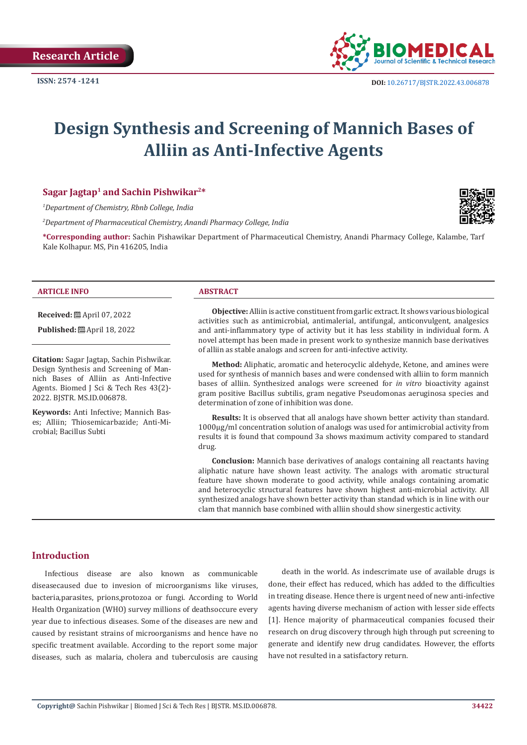

# **Design Synthesis and Screening of Mannich Bases of Alliin as Anti-Infective Agents**

### **Sagar Jagtap1 and Sachin Pishwikar2\***

*1 Department of Chemistry, Rbnb College, India*

*2 Department of Pharmaceutical Chemistry, Anandi Pharmacy College, India*



**\*Corresponding author:** Sachin Pishawikar Department of Pharmaceutical Chemistry, Anandi Pharmacy College, Kalambe, Tarf Kale Kolhapur. MS, Pin 416205, India

#### **ARTICLE INFO ABSTRACT**

**Received:** April 07, 2022

**Published:** ■ April 18, 2022

**Citation:** Sagar Jagtap, Sachin Pishwikar. Design Synthesis and Screening of Mannich Bases of Alliin as Anti-Infective Agents. Biomed J Sci & Tech Res 43(2)- 2022. BJSTR. MS.ID.006878.

**Keywords:** Anti Infective; Mannich Bases; Alliin; Thiosemicarbazide; Anti-Microbial; Bacillus Subti

**Objective:** Alliin is active constituent from garlic extract. It shows various biological activities such as antimicrobial, antimalerial, antifungal, anticonvulgent, analgesics and anti-inflammatory type of activity but it has less stability in individual form. A novel attempt has been made in present work to synthesize mannich base derivatives of alliin as stable analogs and screen for anti-infective activity.

**Method:** Aliphatic, aromatic and heterocyclic aldehyde, Ketone, and amines were used for synthesis of mannich bases and were condensed with alliin to form mannich bases of alliin. Synthesized analogs were screened for *in vitro* bioactivity against gram positive Bacillus subtilis, gram negative Pseudomonas aeruginosa species and determination of zone of inhibition was done.

**Results:** It is observed that all analogs have shown better activity than standard. 1000µg/ml concentration solution of analogs was used for antimicrobial activity from results it is found that compound 3a shows maximum activity compared to standard drug.

**Conclusion:** Mannich base derivatives of analogs containing all reactants having aliphatic nature have shown least activity. The analogs with aromatic structural feature have shown moderate to good activity, while analogs containing aromatic and heterocyclic structural features have shown highest anti-microbial activity. All synthesized analogs have shown better activity than standad which is in line with our clam that mannich base combined with alliin should show sinergestic activity.

#### **Introduction**

Infectious disease are also known as communicable diseasecaused due to invesion of microorganisms like viruses, bacteria,parasites, prions,protozoa or fungi. According to World Health Organization (WHO) survey millions of deathsoccure every year due to infectious diseases. Some of the diseases are new and caused by resistant strains of microorganisms and hence have no specific treatment available. According to the report some major diseases, such as malaria, cholera and tuberculosis are causing

death in the world. As indescrimate use of available drugs is done, their effect has reduced, which has added to the difficulties in treating disease. Hence there is urgent need of new anti-infective agents having diverse mechanism of action with lesser side effects [1]. Hence majority of pharmaceutical companies focused their research on drug discovery through high through put screening to generate and identify new drug candidates. However, the efforts have not resulted in a satisfactory return.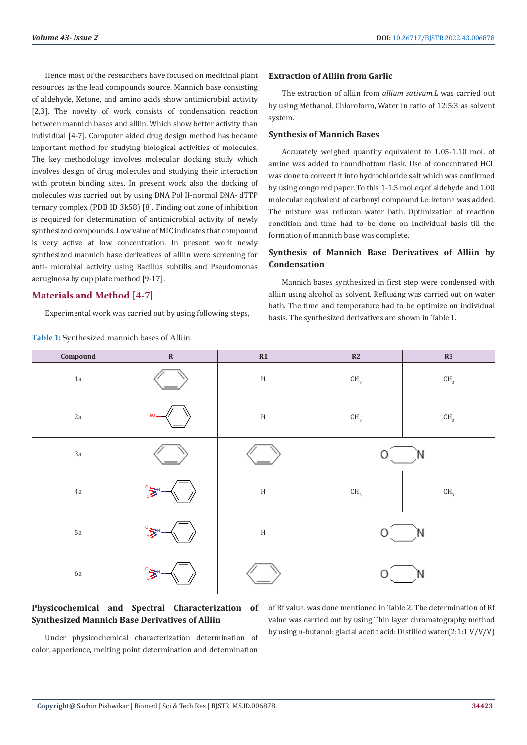Hence most of the researchers have focused on medicinal plant resources as the lead compounds source. Mannich base consisting of aldehyde, Ketone, and amino acids show antimicrobial activity [2,3]. The novelty of work consists of condensation reaction between mannich bases and alliin. Which show better activity than individual [4-7]. Computer aided drug design method has became important method for studying biological activities of molecules. The key methodology involves molecular docking study which involves design of drug molecules and studying their interaction with protein binding sites. In present work also the docking of molecules was carried out by using DNA Pol II-normal DNA- dTTP ternary complex (PDB ID 3k58) [8]. Finding out zone of inhibition is required for determination of antimicrobial activity of newly synthesized compounds. Low value of MIC indicates that compound is very active at low concentration. In present work newly synthesized mannich base derivatives of alliin were screening for anti- microbial activity using Bacillus subtilis and Pseudomonas aeruginosa by cup plate method [9-17].

# **Materials and Method [4-7]**

Experimental work was carried out by using following steps,

**Table 1:** Synthesized mannich bases of Alliin.

#### **Extraction of Alliin from Garlic**

The extraction of alliin from *allium sativum.L* was carried out by using Methanol, Chloroform, Water in ratio of 12:5:3 as solvent system.

#### **Synthesis of Mannich Bases**

Accurately weighed quantity equivalent to 1.05-1.10 mol. of amine was added to roundbottom flask. Use of concentrated HCL was done to convert it into hydrochloride salt which was confirmed by using congo red paper. To this 1-1.5 mol.eq.of aldehyde and 1.00 molecular equivalent of carbonyl compound i.e. ketone was added. The mixture was refluxon water bath. Optimization of reaction condition and time had to be done on individual basis till the formation of mannich base was complete.

# **Synthesis of Mannich Base Derivatives of Alliin by Condensation**

Mannich bases synthesized in first step were condensed with alliin using alcohol as solvent. Refluxing was carried out on water bath. The time and temperature had to be optimize on individual basis. The synthesized derivatives are shown in Table 1.

| Compound      | $\mathbf R$ | R1     | R2              | R3              |
|---------------|-------------|--------|-----------------|-----------------|
| $1\mathrm{a}$ |             | $\,$ H | $\mathsf{CH}_3$ | $\mathsf{CH}_3$ |
| 2a            | HO          | $\,$ H | $\mathsf{CH}_3$ | $\mathsf{CH}_3$ |
| $3\mathrm{a}$ |             |        |                 |                 |
| $4\mathrm{a}$ | $\circ$     | $\,$ H | $\mathsf{CH}_3$ | $\mathsf{CH}_3$ |
| $5\mathrm{a}$ | $\circ$ .   | $\,$ H | Ο               | Ν               |
| 6a            | $\circ$     |        |                 |                 |

# **Physicochemical and Spectral Characterization of Synthesized Mannich Base Derivatives of Alliin**

of Rf value. was done mentioned in Table 2. The determination of Rf value was carried out by using Thin layer chromatography method by using n-butanol: glacial acetic acid: Distilled water(2:1:1 V/V/V)

Under physicochemical characterization determination of color, apperience, melting point determination and determination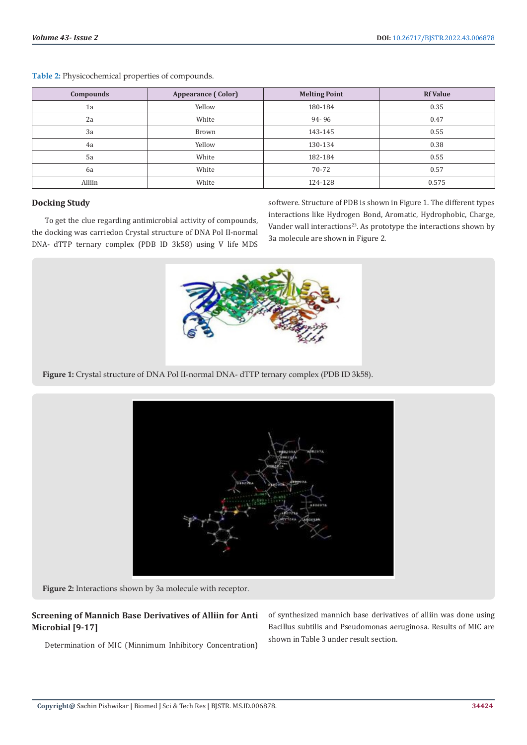| <b>Compounds</b> | Appearance (Color) | <b>Melting Point</b> | <b>Rf Value</b> |
|------------------|--------------------|----------------------|-----------------|
| 1a               | Yellow             | 180-184              | 0.35            |
| 2a               | White              | 94-96                | 0.47            |
| 3a               | Brown              | 143-145              | 0.55            |
| 4a               | Yellow             | 130-134              | 0.38            |
| 5a               | White              | 182-184              | 0.55            |
| 6a               | White              | 70-72                | 0.57            |
| Alliin           | White              | 124-128              | 0.575           |

**Table 2:** Physicochemical properties of compounds.

#### **Docking Study**

To get the clue regarding antimicrobial activity of compounds, the docking was carriedon Crystal structure of DNA Pol II-normal DNA- dTTP ternary complex (PDB ID 3k58) using V life MDS softwere. Structure of PDB is shown in Figure 1. The different types interactions like Hydrogen Bond, Aromatic, Hydrophobic, Charge, Vander wall interactions<sup>23</sup>. As prototype the interactions shown by 3a molecule are shown in Figure 2.



**Figure 1:** Crystal structure of DNA Pol II-normal DNA- dTTP ternary complex (PDB ID 3k58).



**Figure 2:** Interactions shown by 3a molecule with receptor.

# **Screening of Mannich Base Derivatives of Alliin for Anti Microbial [9-17]**

Determination of MIC (Minnimum Inhibitory Concentration)

of synthesized mannich base derivatives of alliin was done using Bacillus subtilis and Pseudomonas aeruginosa*.* Results of MIC are shown in Table 3 under result section.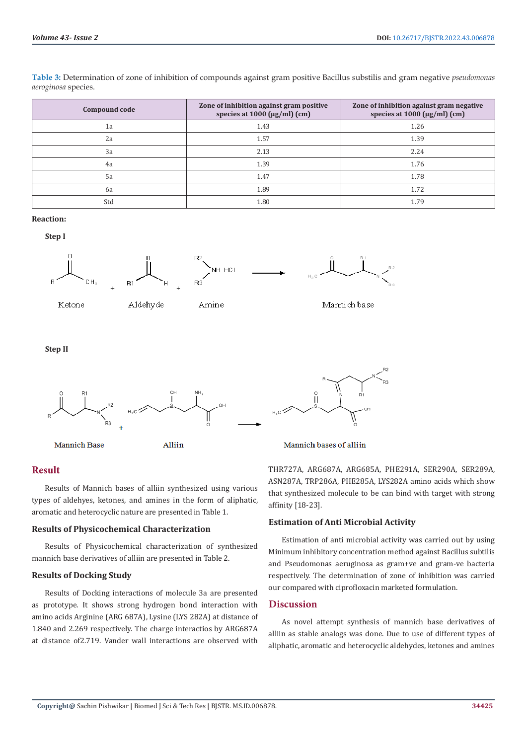**Table 3:** Determination of zone of inhibition of compounds against gram positive Bacillus substilis and gram negative *pseudomonas aeroginosa* species.

| Compound code | Zone of inhibition against gram positive<br>species at $1000 \, (\mu g/ml) \, (cm)$ | Zone of inhibition against gram negative<br>species at $1000 \, (\mu g/ml) \, (cm)$ |
|---------------|-------------------------------------------------------------------------------------|-------------------------------------------------------------------------------------|
| 1a            | 1.43                                                                                | 1.26                                                                                |
| 2a            | 1.57                                                                                | 1.39                                                                                |
| 3a            | 2.13                                                                                | 2.24                                                                                |
| 4a            | 1.39                                                                                | 1.76                                                                                |
| 5a            | 1.47                                                                                | 1.78                                                                                |
| 6a            | 1.89                                                                                | 1.72                                                                                |
| Std           | 1.80                                                                                | 1.79                                                                                |

#### **Reaction:**

**Step I**











Mannich base

**Step II**



#### **Result**

Results of Mannich bases of alliin synthesized using various types of aldehyes, ketones, and amines in the form of aliphatic, aromatic and heterocyclic nature are presented in Table 1.

#### **Results of Physicochemical Characterization**

Results of Physicochemical characterization of synthesized mannich base derivatives of alliin are presented in Table 2.

#### **Results of Docking Study**

Results of Docking interactions of molecule 3a are presented as prototype. It shows strong hydrogen bond interaction with amino acids Arginine (ARG 687A), Lysine (LYS 282A) at distance of 1.840 and 2.269 respectively. The charge interactios by ARG687A at distance of2.719. Vander wall interactions are observed with

THR727A, ARG687A, ARG685A, PHE291A, SER290A, SER289A, ASN287A, TRP286A, PHE285A, LYS282A amino acids which show that synthesized molecule to be can bind with target with strong affinity [18-23].

#### **Estimation of Anti Microbial Activity**

Estimation of anti microbial activity was carried out by using Minimum inhibitory concentration method against Bacillus subtilis and Pseudomonas aeruginosa as gram+ve and gram-ve bacteria respectively. The determination of zone of inhibition was carried our compared with ciprofloxacin marketed formulation.

#### **Discussion**

As novel attempt synthesis of mannich base derivatives of alliin as stable analogs was done. Due to use of different types of aliphatic, aromatic and heterocyclic aldehydes, ketones and amines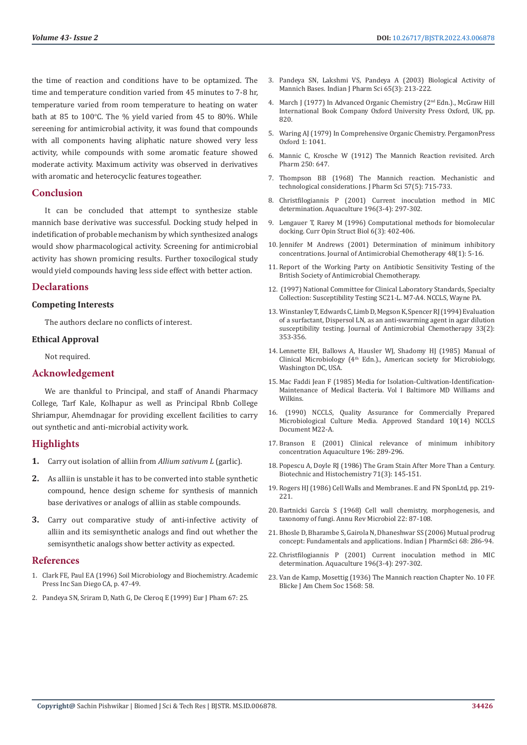the time of reaction and conditions have to be optamized. The time and temperature condition varied from 45 minutes to 7-8 hr, temperature varied from room temperature to heating on water bath at 85 to  $100^{\circ}$ C. The % yield varied from 45 to 80%. While sereening for antimicrobial activity, it was found that compounds with all components having aliphatic nature showed very less activity, while compounds with some aromatic feature showed moderate activity. Maximum activity was observed in derivatives with aromatic and heterocyclic features togeather.

#### **Conclusion**

It can be concluded that attempt to synthesize stable mannich base derivative was successful. Docking study helped in indetification of probable mechanism by which synthesized analogs would show pharmacological activity. Screening for antimicrobial activity has shown promicing results. Further toxocilogical study would yield compounds having less side effect with better action.

#### **Declarations**

#### **Competing Interests**

The authors declare no conflicts of interest.

#### **Ethical Approval**

Not required.

#### **Acknowledgement**

We are thankful to Principal, and staff of Anandi Pharmacy College, Tarf Kale, Kolhapur as well as Principal Rbnb College Shriampur, Ahemdnagar for providing excellent facilities to carry out synthetic and anti-microbial activity work.

#### **Highlights**

- **1.** Carry out isolation of alliin from *Allium sativum L* (garlic).
- **2.** As alliin is unstable it has to be converted into stable synthetic compound, hence design scheme for synthesis of mannich base derivatives or analogs of alliin as stable compounds.
- **3.** Carry out comparative study of anti-infective activity of alliin and its semisynthetic analogs and find out whether the semisynthetic analogs show better activity as expected.

#### **References**

- 1. Clark FE, Paul EA (1996) Soil Microbiology and Biochemistry. Academic Press Inc San Diego CA, p. 47-49.
- 2. Pandeya SN, Sriram D, Nath G, De Cleroq E (1999) Eur J Pham 67: 25.
- 3. [Pandeya SN, Lakshmi VS, Pandeya A \(2003\) Biological Activity of](https://www.ijpsonline.com/articles/biological-activity-of-mannich-bases.pdf) [Mannich Bases. Indian J Pharm Sci 65\(3\): 213-222.](https://www.ijpsonline.com/articles/biological-activity-of-mannich-bases.pdf)
- 4. [March J \(1977\) In Advanced Organic Chemistry \(2nd Edn.\)., McGraw Hill](https://rushim.ru/books/mechanizms/march6ed.pdf) [International Book Company Oxford University Press Oxford, UK, pp.](https://rushim.ru/books/mechanizms/march6ed.pdf) [820.](https://rushim.ru/books/mechanizms/march6ed.pdf)
- 5. Waring AJ (1979) In Comprehensive Organic Chemistry. PergamonPress Oxford 1: 1041.
- 6. Mannic C, Krosche W (1912) The Mannich Reaction revisited. Arch Pharm 250: 647.
- 7. [Thompson BB \(1968\) The Mannich reaction. Mechanistic and](https://www.sciencedirect.com/science/article/abs/pii/S0022354915362936) [technological considerations. J Pharm Sci 57\(5\): 715-733.](https://www.sciencedirect.com/science/article/abs/pii/S0022354915362936)
- 8. [Christfilogiannis P \(2001\) Current inoculation method in MIC](https://www.sciencedirect.com/science/article/abs/pii/S0044848601005427) [determination. Aquaculture 196\(3-4\): 297-302.](https://www.sciencedirect.com/science/article/abs/pii/S0044848601005427)
- 9. [Lengauer T, Rarey M \(1996\) Computational methods for biomolecular](https://pubmed.ncbi.nlm.nih.gov/8804827/) [docking. Curr Opin Struct Biol 6\(3\): 402-406.](https://pubmed.ncbi.nlm.nih.gov/8804827/)
- 10. [Jennifer M Andrews \(2001\) Determination of minimum inhibitory](https://academic.oup.com/jac/article/48/suppl_1/5/2473513) [concentrations. Journal of Antimicrobial Chemotherapy 48\(1\): 5-16.](https://academic.oup.com/jac/article/48/suppl_1/5/2473513)
- 11. [Report of the Working Party on Antibiotic Sensitivity Testing of the](https://pubmed.ncbi.nlm.nih.gov/1874686/) [British Society of Antimicrobial Chemotherapy.](https://pubmed.ncbi.nlm.nih.gov/1874686/)
- 12. (1997) National Committee for Clinical Laboratory Standards, Specialty Collection: Susceptibility Testing SC21-L. M7-A4. NCCLS, Wayne PA.
- 13. [Winstanley T, Edwards C, Limb D, Megson K, Spencer RJ \(1994\) Evaluation](https://pubmed.ncbi.nlm.nih.gov/8182021/) [of a surfactant, Dispersol LN, as an anti-swarming agent in agar dilution](https://pubmed.ncbi.nlm.nih.gov/8182021/) [susceptibility testing. Journal of Antimicrobial Chemotherapy 33\(2\):](https://pubmed.ncbi.nlm.nih.gov/8182021/) [353-356.](https://pubmed.ncbi.nlm.nih.gov/8182021/)
- 14. [Lennette EH, Ballows A, Hausler WJ, Shadomy HJ \(1985\) Manual of](https://books.google.co.in/books/about/Manual_of_clinical_microbiology_4th_edit.html?id=OD9pzQEACAAJ&redir_esc=y) Clinical Microbiology (4<sup>th</sup> Edn.)., American society for Microbiology, [Washington DC, USA.](https://books.google.co.in/books/about/Manual_of_clinical_microbiology_4th_edit.html?id=OD9pzQEACAAJ&redir_esc=y)
- 15. [Mac Faddi Jean F \(1985\) Media for Isolation-Cultivation-Identification-](https://onlinelibrary.wiley.com/doi/abs/10.1002/jobm.3620260414)[Maintenance of Medical Bacteria. Vol I Baltimore MD Williams and](https://onlinelibrary.wiley.com/doi/abs/10.1002/jobm.3620260414) [Wilkins.](https://onlinelibrary.wiley.com/doi/abs/10.1002/jobm.3620260414)
- 16. (1990) NCCLS, Quality Assurance for Commercially Prepared Microbiological Culture Media. Approved Standard 10(14) NCCLS Document M22-A.
- 17. Branson E (2001) Clinical relevance of minimum inhibitory concentration Aquaculture 196: 289-296.
- 18. [Popescu A, Doyle RJ \(1986\) The Gram Stain After More Than a Century.](https://pubmed.ncbi.nlm.nih.gov/8724440/) [Biotechnic and Histochemistry 71\(3\): 145-151.](https://pubmed.ncbi.nlm.nih.gov/8724440/)
- 19. [Rogers HJ \(1986\) Cell Walls and Membranes. E and FN SponLtd, pp. 219-](https://www.abebooks.com/servlet/BookDetailsPL?bi=30990698479&searchurl=an%3Drogers%2Bperkins%26sortby%3D17%26tn%3Dcell%2Bwalls%2Bmembranes&cm_sp=snippet-_-srp1-_-title1) [221.](https://www.abebooks.com/servlet/BookDetailsPL?bi=30990698479&searchurl=an%3Drogers%2Bperkins%26sortby%3D17%26tn%3Dcell%2Bwalls%2Bmembranes&cm_sp=snippet-_-srp1-_-title1)
- 20. Bartnicki Garcí[a S \(1968\) Cell wall chemistry, morphogenesis, and](https://pubmed.ncbi.nlm.nih.gov/4879523/) [taxonomy of fungi. Annu Rev Microbiol 22: 87-108.](https://pubmed.ncbi.nlm.nih.gov/4879523/)
- 21. Bhosle D, Bharambe S, Gairola N, Dhaneshwar SS (2006) Mutual prodrug concept: Fundamentals and applications. Indian J PharmSci 68: 286-94.
- 22. [Christfilogiannis P \(2001\) Current inoculation method in MIC](https://www.sciencedirect.com/science/article/abs/pii/S0044848601005427) [determination. Aquaculture 196\(3-4\): 297-302.](https://www.sciencedirect.com/science/article/abs/pii/S0044848601005427)
- 23. Van de Kamp, Mosettig (1936) The Mannich reaction Chapter No. 10 FF. Blicke J Am Chem Soc 1568: 58.